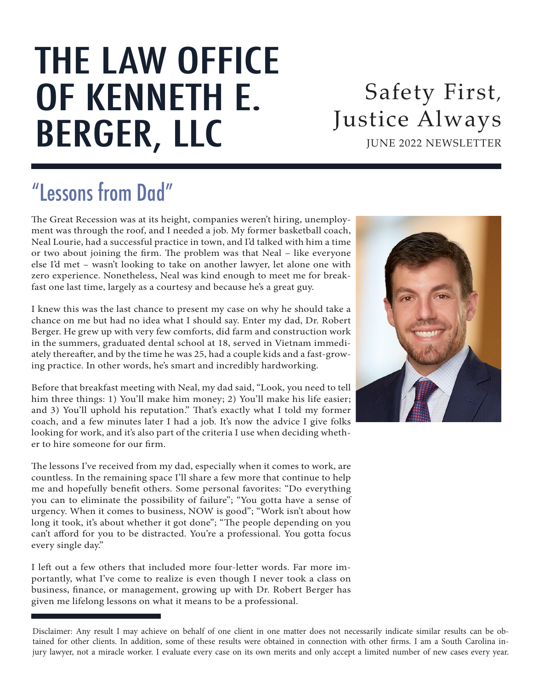# THE LAW OFFICE OF KENNETH E. BERGER, LLC

JUNE 2022 NEWSLETTER Safety First, Justice Always

## "Lessons from Dad"

The Great Recession was at its height, companies weren't hiring, unemployment was through the roof, and I needed a job. My former basketball coach, Neal Lourie, had a successful practice in town, and I'd talked with him a time or two about joining the firm. The problem was that Neal – like everyone else I'd met – wasn't looking to take on another lawyer, let alone one with zero experience. Nonetheless, Neal was kind enough to meet me for breakfast one last time, largely as a courtesy and because he's a great guy.

I knew this was the last chance to present my case on why he should take a chance on me but had no idea what I should say. Enter my dad, Dr. Robert Berger. He grew up with very few comforts, did farm and construction work in the summers, graduated dental school at 18, served in Vietnam immediately thereafter, and by the time he was 25, had a couple kids and a fast-growing practice. In other words, he's smart and incredibly hardworking.

Before that breakfast meeting with Neal, my dad said, "Look, you need to tell him three things: 1) You'll make him money; 2) You'll make his life easier; and 3) You'll uphold his reputation." That's exactly what I told my former coach, and a few minutes later I had a job. It's now the advice I give folks looking for work, and it's also part of the criteria I use when deciding whether to hire someone for our firm.

The lessons I've received from my dad, especially when it comes to work, are countless. In the remaining space I'll share a few more that continue to help me and hopefully benefit others. Some personal favorites: "Do everything you can to eliminate the possibility of failure"; "You gotta have a sense of urgency. When it comes to business, NOW is good"; "Work isn't about how long it took, it's about whether it got done"; "The people depending on you can't afford for you to be distracted. You're a professional. You gotta focus every single day."

I left out a few others that included more four-letter words. Far more importantly, what I've come to realize is even though I never took a class on business, finance, or management, growing up with Dr. Robert Berger has given me lifelong lessons on what it means to be a professional.



Disclaimer: Any result I may achieve on behalf of one client in one matter does not necessarily indicate similar results can be obtained for other clients. In addition, some of these results were obtained in connection with other firms. I am a South Carolina injury lawyer, not a miracle worker. I evaluate every case on its own merits and only accept a limited number of new cases every year.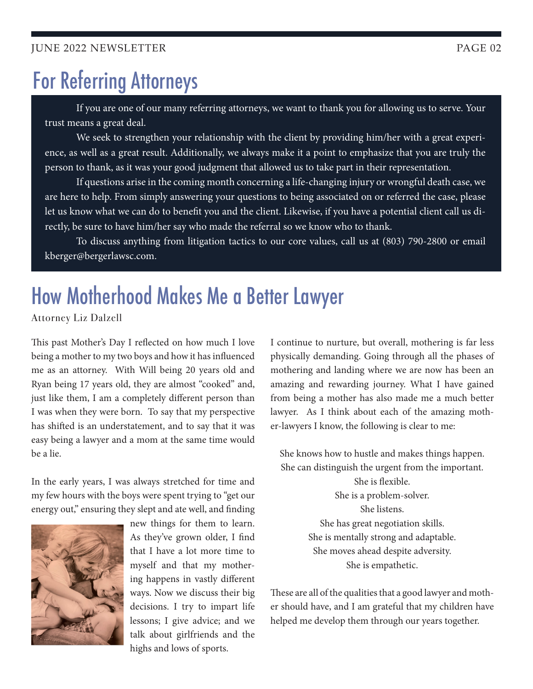#### JUNE 2022 NEWSLETTER PAGE 02

### For Referring Attorneys

If you are one of our many referring attorneys, we want to thank you for allowing us to serve. Your trust means a great deal.

We seek to strengthen your relationship with the client by providing him/her with a great experience, as well as a great result. Additionally, we always make it a point to emphasize that you are truly the person to thank, as it was your good judgment that allowed us to take part in their representation.

If questions arise in the coming month concerning a life-changing injury or wrongful death case, we are here to help. From simply answering your questions to being associated on or referred the case, please let us know what we can do to benefit you and the client. Likewise, if you have a potential client call us directly, be sure to have him/her say who made the referral so we know who to thank.

To discuss anything from litigation tactics to our core values, call us at (803) 790-2800 or email kberger@bergerlawsc.com.

### How Motherhood Makes Me a Better Lawyer

Attorney Liz Dalzell

This past Mother's Day I reflected on how much I love being a mother to my two boys and how it has influenced me as an attorney. With Will being 20 years old and Ryan being 17 years old, they are almost "cooked" and, just like them, I am a completely different person than I was when they were born. To say that my perspective has shifted is an understatement, and to say that it was easy being a lawyer and a mom at the same time would be a lie.

In the early years, I was always stretched for time and my few hours with the boys were spent trying to "get our energy out," ensuring they slept and ate well, and finding



new things for them to learn. As they've grown older, I find that I have a lot more time to myself and that my mothering happens in vastly different ways. Now we discuss their big decisions. I try to impart life lessons; I give advice; and we talk about girlfriends and the highs and lows of sports.

I continue to nurture, but overall, mothering is far less physically demanding. Going through all the phases of mothering and landing where we are now has been an amazing and rewarding journey. What I have gained from being a mother has also made me a much better lawyer. As I think about each of the amazing mother-lawyers I know, the following is clear to me:

She knows how to hustle and makes things happen. She can distinguish the urgent from the important. She is flexible. She is a problem-solver. She listens. She has great negotiation skills. She is mentally strong and adaptable. She moves ahead despite adversity.

She is empathetic.

These are all of the qualities that a good lawyer and mother should have, and I am grateful that my children have helped me develop them through our years together.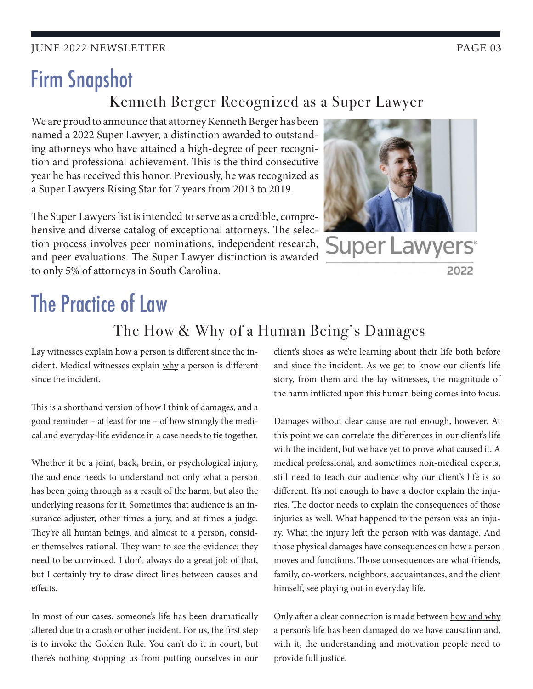**IUNE 2022 NEWSLETTER PAGE 03** 

### Firm Snapshot Kenneth Berger Recognized as a Super Lawyer

We are proud to announce that attorney Kenneth Berger has been named a 2022 Super Lawyer, a distinction awarded to outstanding attorneys who have attained a high-degree of peer recognition and professional achievement. This is the third consecutive year he has received this honor. Previously, he was recognized as a Super Lawyers Rising Star for 7 years from 2013 to 2019.

The Super Lawyers list is intended to serve as a credible, comprehensive and diverse catalog of exceptional attorneys. The selection process involves peer nominations, independent research, and peer evaluations. The Super Lawyer distinction is awarded to only 5% of attorneys in South Carolina.



# The Practice of Law

#### The How & Why of a Human Being's Damages

Lay witnesses explain how a person is different since the incident. Medical witnesses explain why a person is different since the incident.

This is a shorthand version of how I think of damages, and a good reminder – at least for me – of how strongly the medical and everyday-life evidence in a case needs to tie together.

Whether it be a joint, back, brain, or psychological injury, the audience needs to understand not only what a person has been going through as a result of the harm, but also the underlying reasons for it. Sometimes that audience is an insurance adjuster, other times a jury, and at times a judge. They're all human beings, and almost to a person, consider themselves rational. They want to see the evidence; they need to be convinced. I don't always do a great job of that, but I certainly try to draw direct lines between causes and effects.

In most of our cases, someone's life has been dramatically altered due to a crash or other incident. For us, the first step is to invoke the Golden Rule. You can't do it in court, but there's nothing stopping us from putting ourselves in our client's shoes as we're learning about their life both before and since the incident. As we get to know our client's life story, from them and the lay witnesses, the magnitude of the harm inflicted upon this human being comes into focus.

Damages without clear cause are not enough, however. At this point we can correlate the differences in our client's life with the incident, but we have yet to prove what caused it. A medical professional, and sometimes non-medical experts, still need to teach our audience why our client's life is so different. It's not enough to have a doctor explain the injuries. The doctor needs to explain the consequences of those injuries as well. What happened to the person was an injury. What the injury left the person with was damage. And those physical damages have consequences on how a person moves and functions. Those consequences are what friends, family, co-workers, neighbors, acquaintances, and the client himself, see playing out in everyday life.

Only after a clear connection is made between how and why a person's life has been damaged do we have causation and, with it, the understanding and motivation people need to provide full justice.